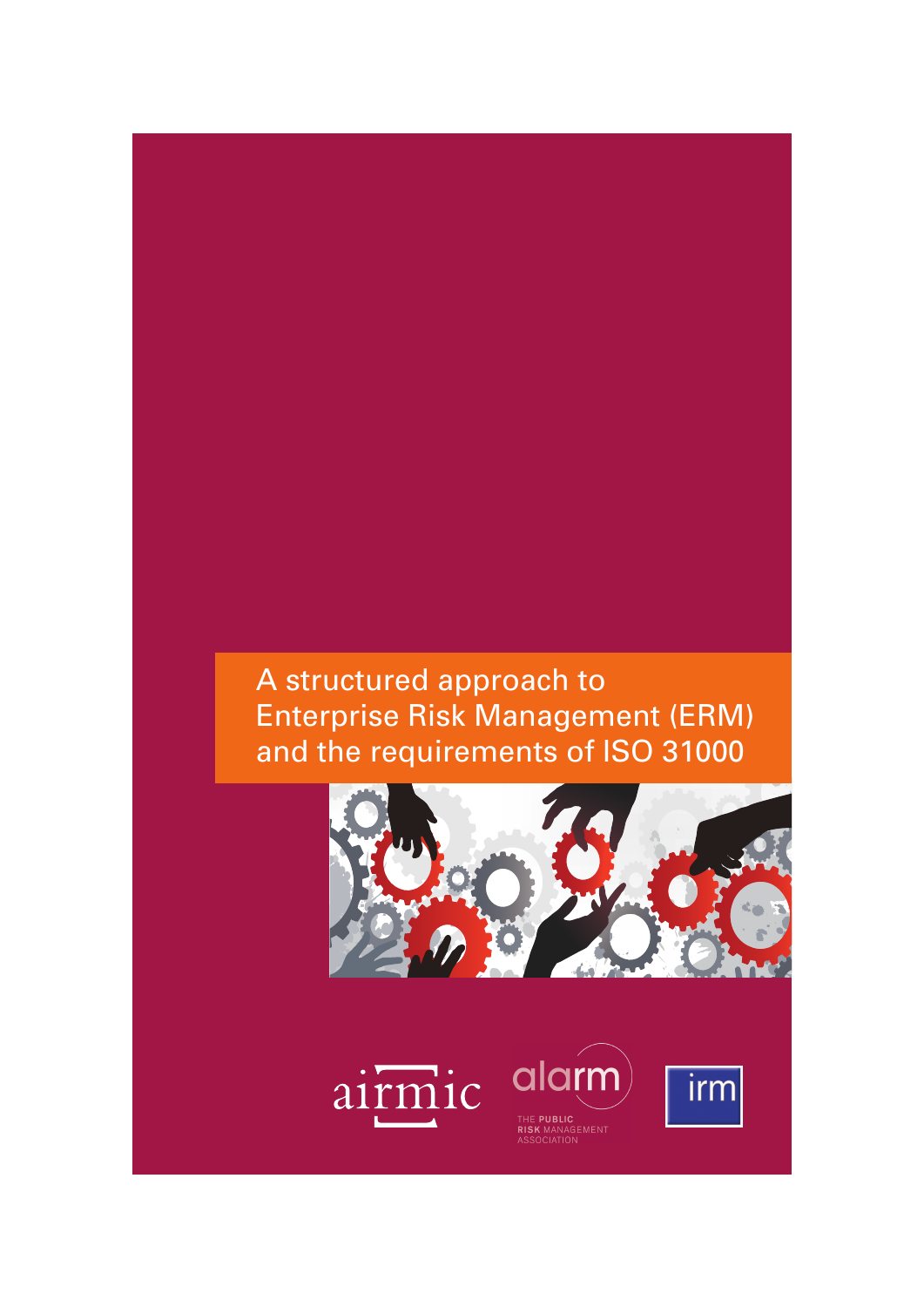# A structured approach to Enterprise Risk Management (ERM) and the requirements of ISO 31000

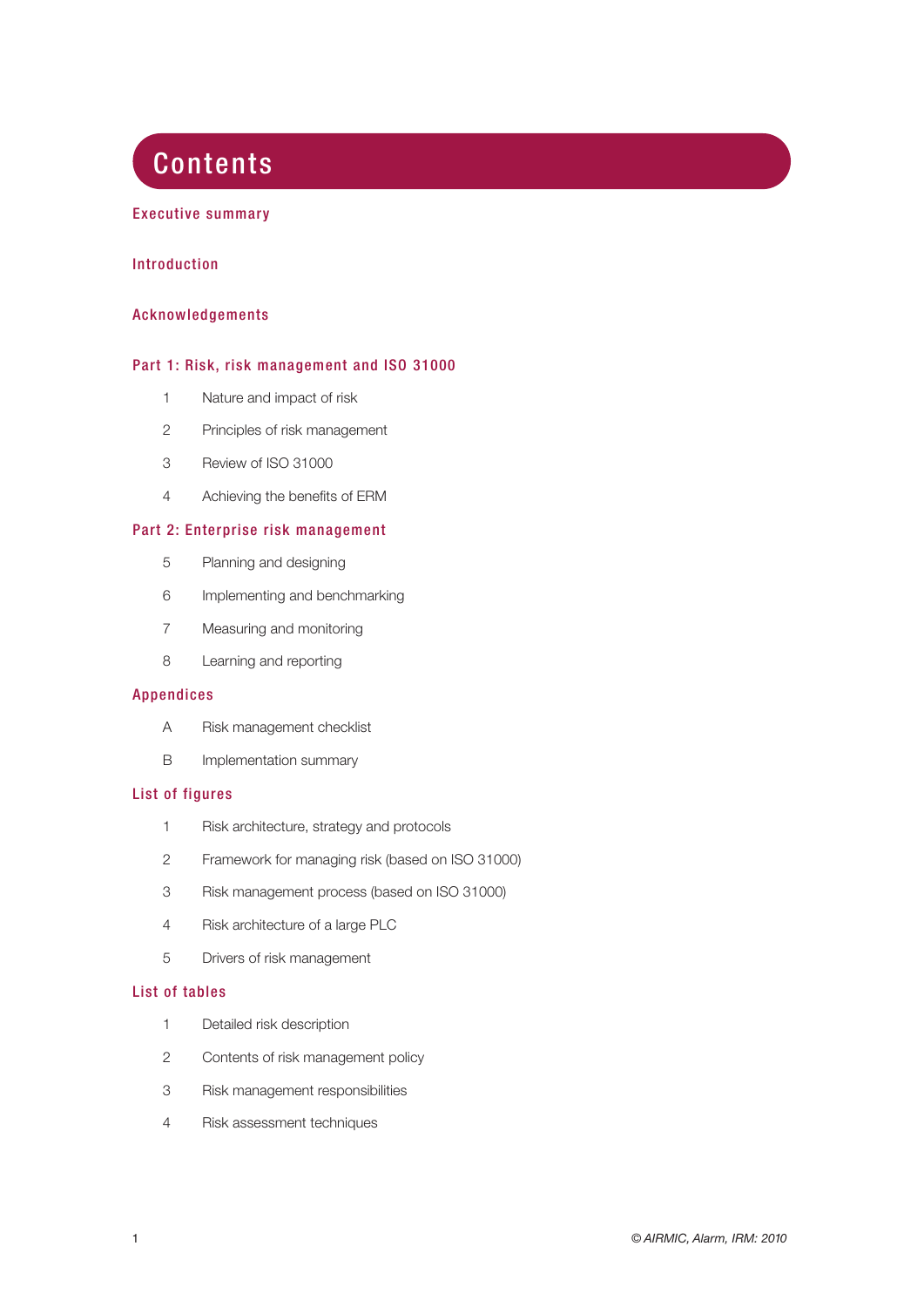## **Contents**

## Executive summary

## Introduction

## Acknowledgements

## Part 1: Risk, risk management and ISO 31000

- 1 Nature and impact of risk
- 2 Principles of risk management
- 3 Review of ISO 31000
- 4 Achieving the benefits of ERM

## Part 2: Enterprise risk management

- 5 Planning and designing
- 6 Implementing and benchmarking
- 7 Measuring and monitoring
- 8 Learning and reporting

## Appendices

- A Risk management checklist
- B Implementation summary

## List of figures

- 1 Risk architecture, strategy and protocols
- 2 Framework for managing risk (based on ISO 31000)
- 3 Risk management process (based on ISO 31000)
- 4 Risk architecture of a large PLC
- 5 Drivers of risk management

#### List of tables

- 1 Detailed risk description
- 2 Contents of risk management policy
- 3 Risk management responsibilities
- 4 Risk assessment techniques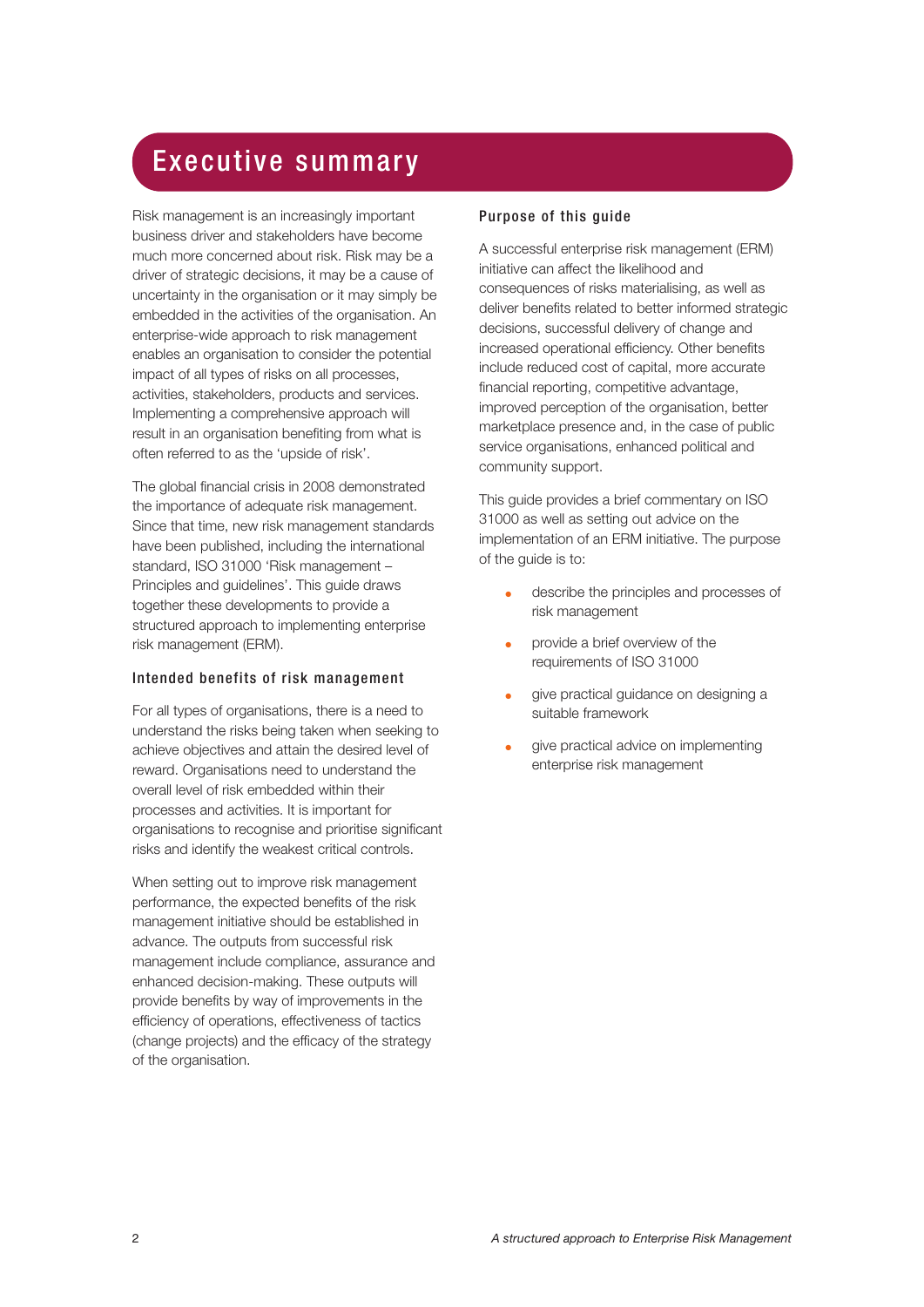## Executive summary

Risk management is an increasingly important business driver and stakeholders have become much more concerned about risk. Risk may be a driver of strategic decisions, it may be a cause of uncertainty in the organisation or it may simply be embedded in the activities of the organisation. An enterprise-wide approach to risk management enables an organisation to consider the potential impact of all types of risks on all processes, activities, stakeholders, products and services. Implementing a comprehensive approach will result in an organisation benefiting from what is often referred to as the 'upside of risk'.

The global financial crisis in 2008 demonstrated the importance of adequate risk management. Since that time, new risk management standards have been published, including the international standard, ISO 31000 'Risk management – Principles and guidelines'. This guide draws together these developments to provide a structured approach to implementing enterprise risk management (ERM).

## Intended benefits of risk management

For all types of organisations, there is a need to understand the risks being taken when seeking to achieve objectives and attain the desired level of reward. Organisations need to understand the overall level of risk embedded within their processes and activities. It is important for organisations to recognise and prioritise significant risks and identify the weakest critical controls.

When setting out to improve risk management performance, the expected benefits of the risk management initiative should be established in advance. The outputs from successful risk management include compliance, assurance and enhanced decision-making. These outputs will provide benefits by way of improvements in the efficiency of operations, effectiveness of tactics (change projects) and the efficacy of the strategy of the organisation.

## Purpose of this guide

A successful enterprise risk management (ERM) initiative can affect the likelihood and consequences of risks materialising, as well as deliver benefits related to better informed strategic decisions, successful delivery of change and increased operational efficiency. Other benefits include reduced cost of capital, more accurate financial reporting, competitive advantage, improved perception of the organisation, better marketplace presence and, in the case of public service organisations, enhanced political and community support.

This guide provides a brief commentary on ISO 31000 as well as setting out advice on the implementation of an ERM initiative. The purpose of the guide is to:

- describe the principles and processes of risk management
- provide a brief overview of the requirements of ISO 31000
- give practical guidance on designing a suitable framework
- give practical advice on implementing enterprise risk management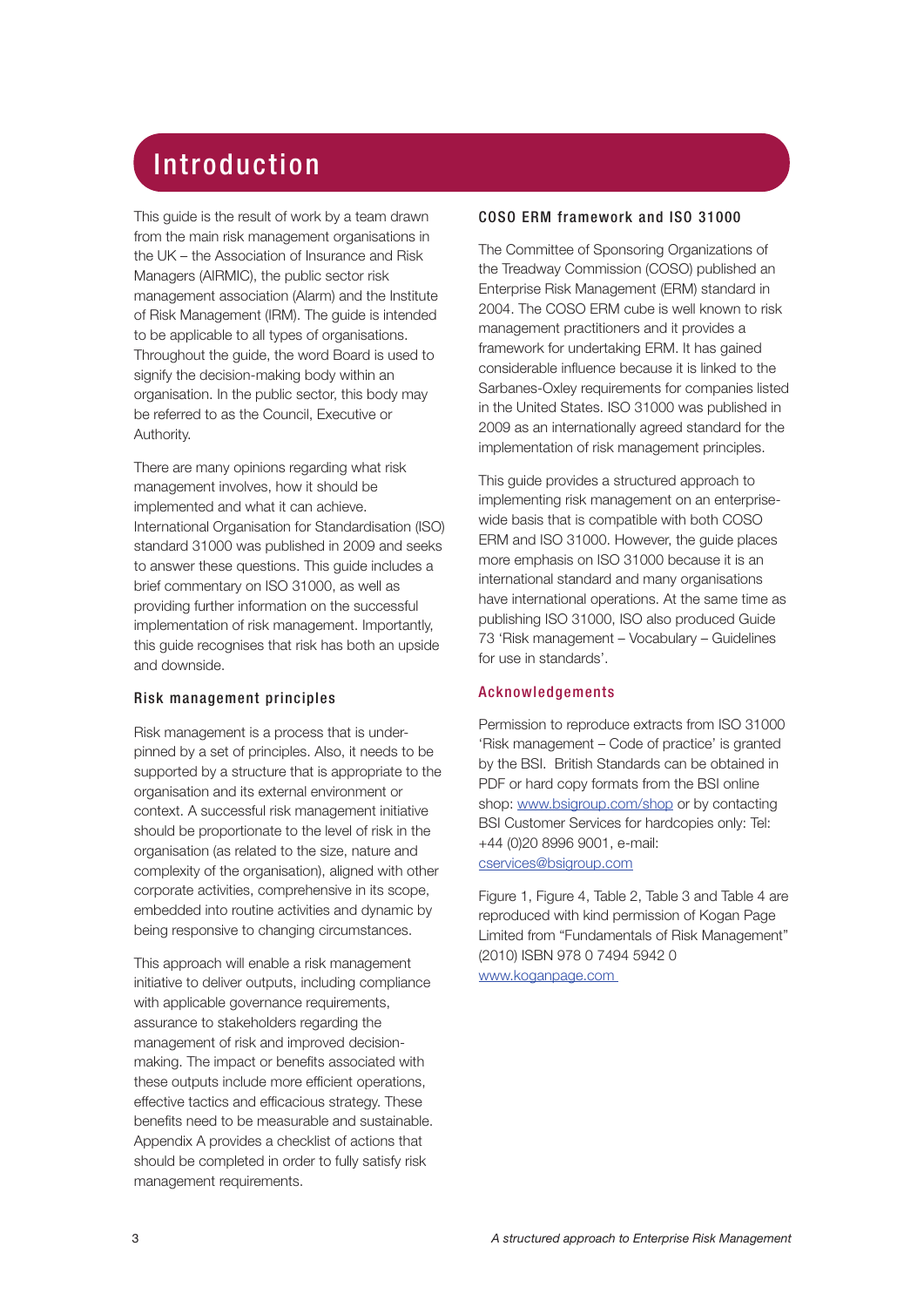# Introduction

This guide is the result of work by a team drawn from the main risk management organisations in the UK – the Association of Insurance and Risk Managers (AIRMIC), the public sector risk management association (Alarm) and the Institute of Risk Management (IRM). The guide is intended to be applicable to all types of organisations. Throughout the guide, the word Board is used to signify the decision-making body within an organisation. In the public sector, this body may be referred to as the Council, Executive or Authority.

There are many opinions regarding what risk management involves, how it should be implemented and what it can achieve. International Organisation for Standardisation (ISO) standard 31000 was published in 2009 and seeks to answer these questions. This guide includes a brief commentary on ISO 31000, as well as providing further information on the successful implementation of risk management. Importantly, this guide recognises that risk has both an upside and downside.

## Risk management principles

Risk management is a process that is underpinned by a set of principles. Also, it needs to be supported by a structure that is appropriate to the organisation and its external environment or context. A successful risk management initiative should be proportionate to the level of risk in the organisation (as related to the size, nature and complexity of the organisation), aligned with other corporate activities, comprehensive in its scope, embedded into routine activities and dynamic by being responsive to changing circumstances.

This approach will enable a risk management initiative to deliver outputs, including compliance with applicable governance requirements, assurance to stakeholders regarding the management of risk and improved decisionmaking. The impact or benefits associated with these outputs include more efficient operations, effective tactics and efficacious strategy. These benefits need to be measurable and sustainable. Appendix A provides a checklist of actions that should be completed in order to fully satisfy risk management requirements.

## COSO ERM framework and ISO 31000

The Committee of Sponsoring Organizations of the Treadway Commission (COSO) published an Enterprise Risk Management (ERM) standard in 2004. The COSO ERM cube is well known to risk management practitioners and it provides a framework for undertaking ERM. It has gained considerable influence because it is linked to the Sarbanes-Oxley requirements for companies listed in the United States. ISO 31000 was published in 2009 as an internationally agreed standard for the implementation of risk management principles.

This guide provides a structured approach to implementing risk management on an enterprisewide basis that is compatible with both COSO ERM and ISO 31000. However, the guide places more emphasis on ISO 31000 because it is an international standard and many organisations have international operations. At the same time as publishing ISO 31000, ISO also produced Guide 73 'Risk management – Vocabulary – Guidelines for use in standards'.

## Acknowledgements

Permission to reproduce extracts from ISO 31000 'Risk management – Code of practice' is granted by the BSI. British Standards can be obtained in PDF or hard copy formats from the BSI online shop: www.bsigroup.com/shop or by contacting BSI Customer Services for hardcopies only: Tel: +44 (0)20 8996 9001, e-mail: cservices@bsigroup.com

Figure 1, Figure 4, Table 2, Table 3 and Table 4 are reproduced with kind permission of Kogan Page Limited from "Fundamentals of Risk Management" (2010) ISBN 978 0 7494 5942 0 www.koganpage.com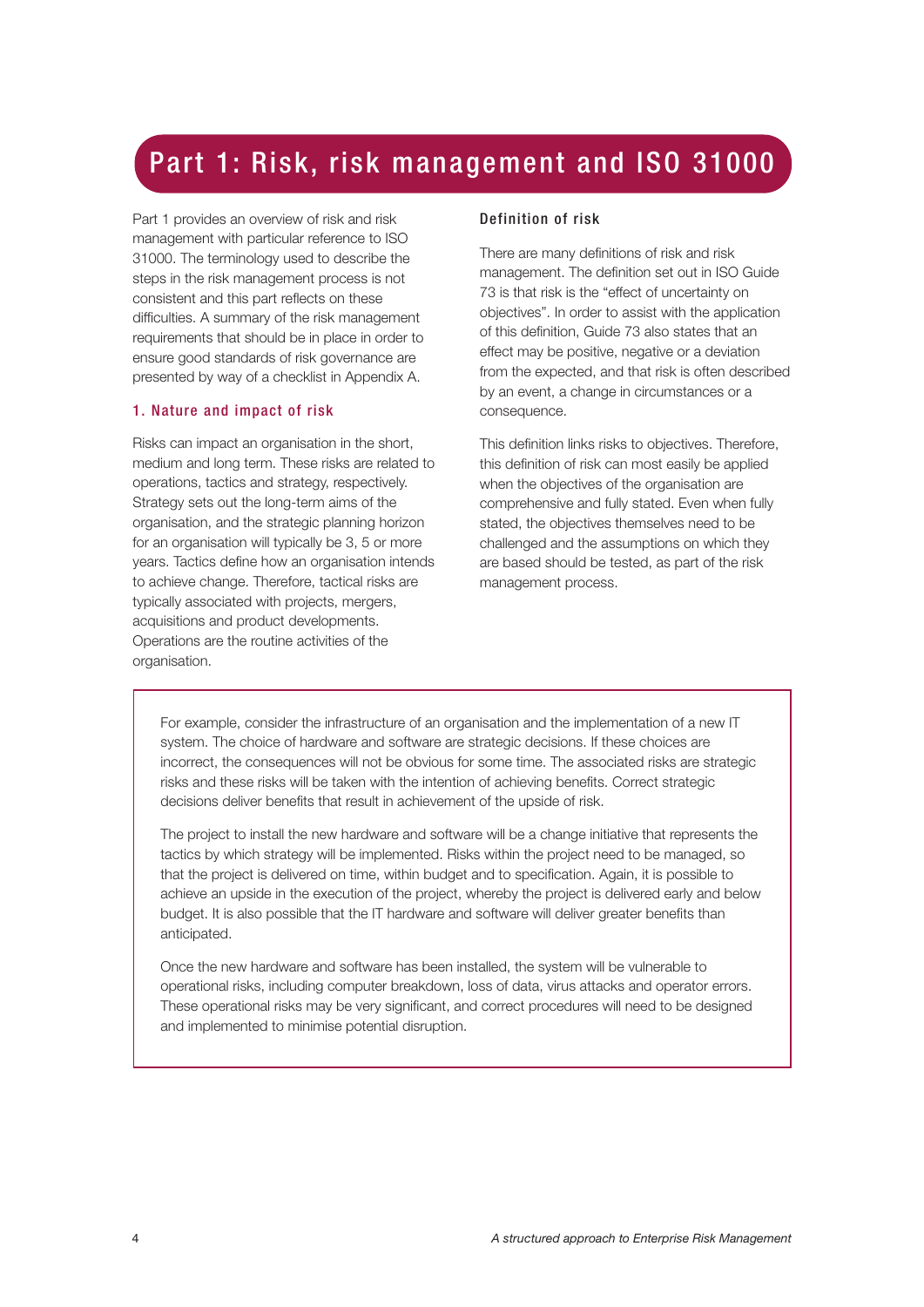## Part 1: Risk, risk management and ISO 31000

Part 1 provides an overview of risk and risk management with particular reference to ISO 31000. The terminology used to describe the steps in the risk management process is not consistent and this part reflects on these difficulties. A summary of the risk management requirements that should be in place in order to ensure good standards of risk governance are presented by way of a checklist in Appendix A.

#### 1. Nature and impact of risk

Risks can impact an organisation in the short, medium and long term. These risks are related to operations, tactics and strategy, respectively. Strategy sets out the long-term aims of the organisation, and the strategic planning horizon for an organisation will typically be 3, 5 or more years. Tactics define how an organisation intends to achieve change. Therefore, tactical risks are typically associated with projects, mergers, acquisitions and product developments. Operations are the routine activities of the organisation.

## Definition of risk

There are many definitions of risk and risk management. The definition set out in ISO Guide 73 is that risk is the "effect of uncertainty on objectives". In order to assist with the application of this definition, Guide 73 also states that an effect may be positive, negative or a deviation from the expected, and that risk is often described by an event, a change in circumstances or a consequence.

This definition links risks to objectives. Therefore, this definition of risk can most easily be applied when the objectives of the organisation are comprehensive and fully stated. Even when fully stated, the objectives themselves need to be challenged and the assumptions on which they are based should be tested, as part of the risk management process.

For example, consider the infrastructure of an organisation and the implementation of a new IT system. The choice of hardware and software are strategic decisions. If these choices are incorrect, the consequences will not be obvious for some time. The associated risks are strategic risks and these risks will be taken with the intention of achieving benefits. Correct strategic decisions deliver benefits that result in achievement of the upside of risk.

The project to install the new hardware and software will be a change initiative that represents the tactics by which strategy will be implemented. Risks within the project need to be managed, so that the project is delivered on time, within budget and to specification. Again, it is possible to achieve an upside in the execution of the project, whereby the project is delivered early and below budget. It is also possible that the IT hardware and software will deliver greater benefits than anticipated.

Once the new hardware and software has been installed, the system will be vulnerable to operational risks, including computer breakdown, loss of data, virus attacks and operator errors. These operational risks may be very significant, and correct procedures will need to be designed and implemented to minimise potential disruption.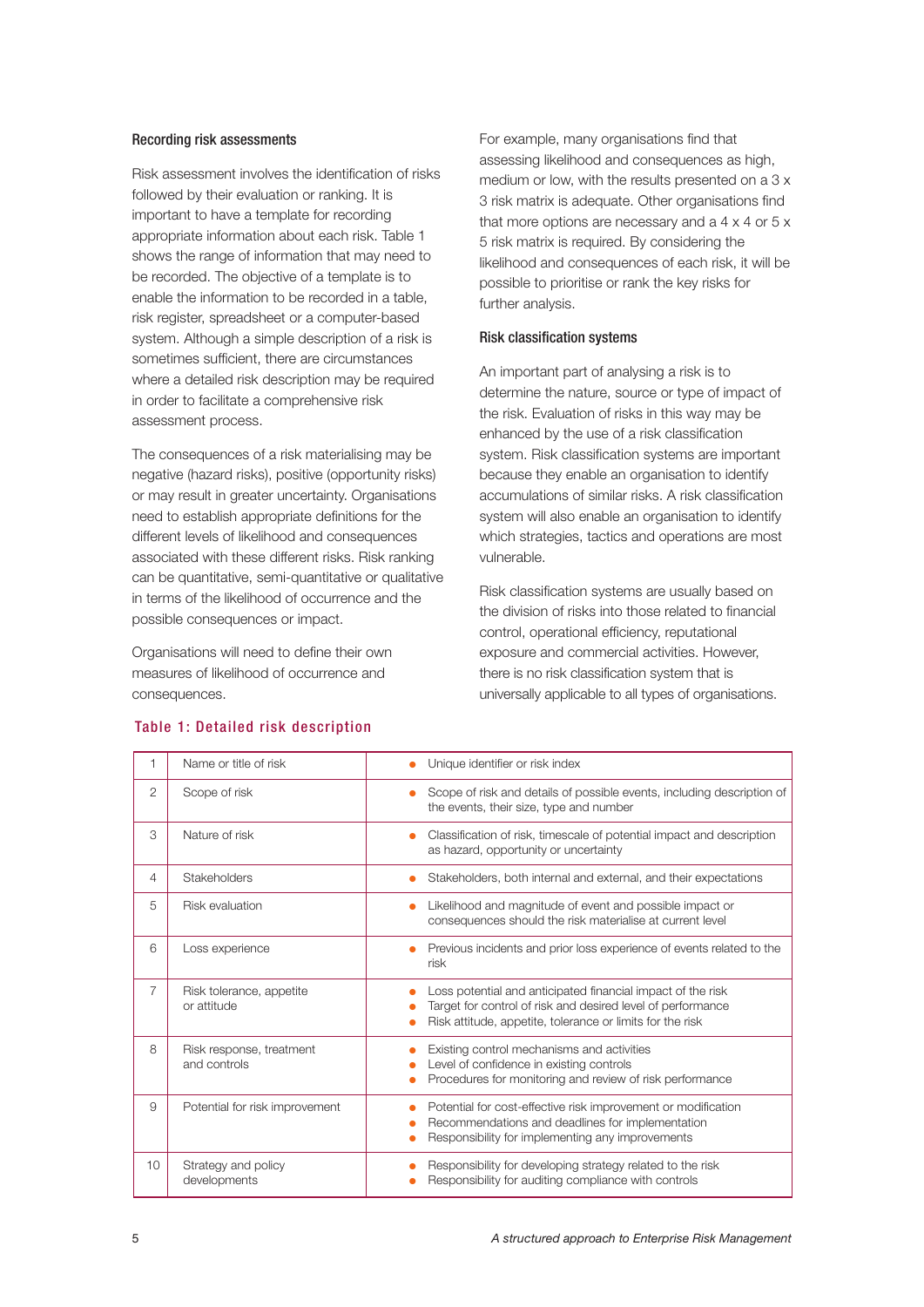#### Recording risk assessments

Risk assessment involves the identification of risks followed by their evaluation or ranking. It is important to have a template for recording appropriate information about each risk. Table 1 shows the range of information that may need to be recorded. The objective of a template is to enable the information to be recorded in a table, risk register, spreadsheet or a computer-based system. Although a simple description of a risk is sometimes sufficient, there are circumstances where a detailed risk description may be required in order to facilitate a comprehensive risk assessment process.

The consequences of a risk materialising may be negative (hazard risks), positive (opportunity risks) or may result in greater uncertainty. Organisations need to establish appropriate definitions for the different levels of likelihood and consequences associated with these different risks. Risk ranking can be quantitative, semi-quantitative or qualitative in terms of the likelihood of occurrence and the possible consequences or impact.

Organisations will need to define their own measures of likelihood of occurrence and consequences.

For example, many organisations find that assessing likelihood and consequences as high, medium or low, with the results presented on a 3 x 3 risk matrix is adequate. Other organisations find that more options are necessary and a  $4 \times 4$  or  $5 \times$ 5 risk matrix is required. By considering the likelihood and consequences of each risk, it will be possible to prioritise or rank the key risks for further analysis.

## Risk classification systems

An important part of analysing a risk is to determine the nature, source or type of impact of the risk. Evaluation of risks in this way may be enhanced by the use of a risk classification system. Risk classification systems are important because they enable an organisation to identify accumulations of similar risks. A risk classification system will also enable an organisation to identify which strategies, tactics and operations are most vulnerable.

Risk classification systems are usually based on the division of risks into those related to financial control, operational efficiency, reputational exposure and commercial activities. However, there is no risk classification system that is universally applicable to all types of organisations.

|                 | Name or title of risk                    | Unique identifier or risk index                                                                                                                                                         |  |
|-----------------|------------------------------------------|-----------------------------------------------------------------------------------------------------------------------------------------------------------------------------------------|--|
| $\overline{2}$  | Scope of risk                            | Scope of risk and details of possible events, including description of<br>the events, their size, type and number                                                                       |  |
| 3               | Nature of risk                           | Classification of risk, timescale of potential impact and description<br>$\bullet$<br>as hazard, opportunity or uncertainty                                                             |  |
| 4               | Stakeholders                             | Stakeholders, both internal and external, and their expectations                                                                                                                        |  |
| 5               | Risk evaluation                          | Likelihood and magnitude of event and possible impact or<br>$\bullet$<br>consequences should the risk materialise at current level                                                      |  |
| 6               | Loss experience                          | Previous incidents and prior loss experience of events related to the<br>risk                                                                                                           |  |
| 7               | Risk tolerance, appetite<br>or attitude  | Loss potential and anticipated financial impact of the risk<br>Target for control of risk and desired level of performance<br>Risk attitude, appetite, tolerance or limits for the risk |  |
| 8               | Risk response, treatment<br>and controls | Existing control mechanisms and activities<br>Level of confidence in existing controls<br>Procedures for monitoring and review of risk performance                                      |  |
| 9               | Potential for risk improvement           | Potential for cost-effective risk improvement or modification<br>Recommendations and deadlines for implementation<br>Responsibility for implementing any improvements                   |  |
| 10 <sup>1</sup> | Strategy and policy<br>developments      | Responsibility for developing strategy related to the risk<br>Responsibility for auditing compliance with controls                                                                      |  |

## Table 1: Detailed risk description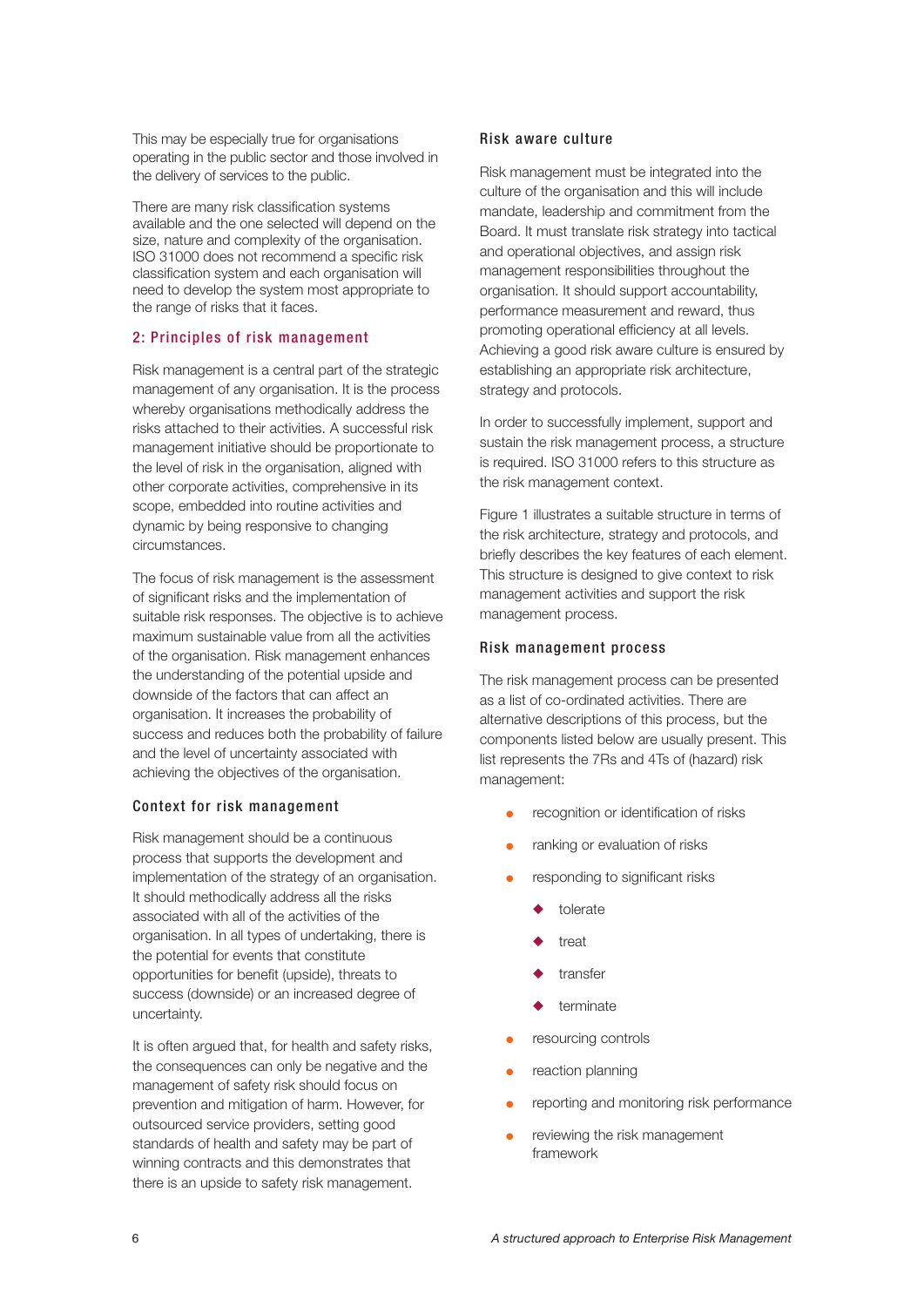This may be especially true for organisations operating in the public sector and those involved in the delivery of services to the public.

There are many risk classification systems available and the one selected will depend on the size, nature and complexity of the organisation. ISO 31000 does not recommend a specific risk classification system and each organisation will need to develop the system most appropriate to the range of risks that it faces.

## 2: Principles of risk management

Risk management is a central part of the strategic management of any organisation. It is the process whereby organisations methodically address the risks attached to their activities. A successful risk management initiative should be proportionate to the level of risk in the organisation, aligned with other corporate activities, comprehensive in its scope, embedded into routine activities and dynamic by being responsive to changing circumstances.

The focus of risk management is the assessment of significant risks and the implementation of suitable risk responses. The objective is to achieve maximum sustainable value from all the activities of the organisation. Risk management enhances the understanding of the potential upside and downside of the factors that can affect an organisation. It increases the probability of success and reduces both the probability of failure and the level of uncertainty associated with achieving the objectives of the organisation.

#### Context for risk management

Risk management should be a continuous process that supports the development and implementation of the strategy of an organisation. It should methodically address all the risks associated with all of the activities of the organisation. In all types of undertaking, there is the potential for events that constitute opportunities for benefit (upside), threats to success (downside) or an increased degree of uncertainty.

It is often argued that, for health and safety risks, the consequences can only be negative and the management of safety risk should focus on prevention and mitigation of harm. However, for outsourced service providers, setting good standards of health and safety may be part of winning contracts and this demonstrates that there is an upside to safety risk management.

#### Risk aware culture

Risk management must be integrated into the culture of the organisation and this will include mandate, leadership and commitment from the Board. It must translate risk strategy into tactical and operational objectives, and assign risk management responsibilities throughout the organisation. It should support accountability, performance measurement and reward, thus promoting operational efficiency at all levels. Achieving a good risk aware culture is ensured by establishing an appropriate risk architecture, strategy and protocols.

In order to successfully implement, support and sustain the risk management process, a structure is required. ISO 31000 refers to this structure as the risk management context.

Figure 1 illustrates a suitable structure in terms of the risk architecture, strategy and protocols, and briefly describes the key features of each element. This structure is designed to give context to risk management activities and support the risk management process.

#### Risk management process

The risk management process can be presented as a list of co-ordinated activities. There are alternative descriptions of this process, but the components listed below are usually present. This list represents the 7Rs and 4Ts of (hazard) risk management:

- recognition or identification of risks
- ranking or evaluation of risks
- responding to significant risks
	- tolerate
	- treat
	- transfer
	- terminate
- resourcing controls
- reaction planning
- reporting and monitoring risk performance
- reviewing the risk management framework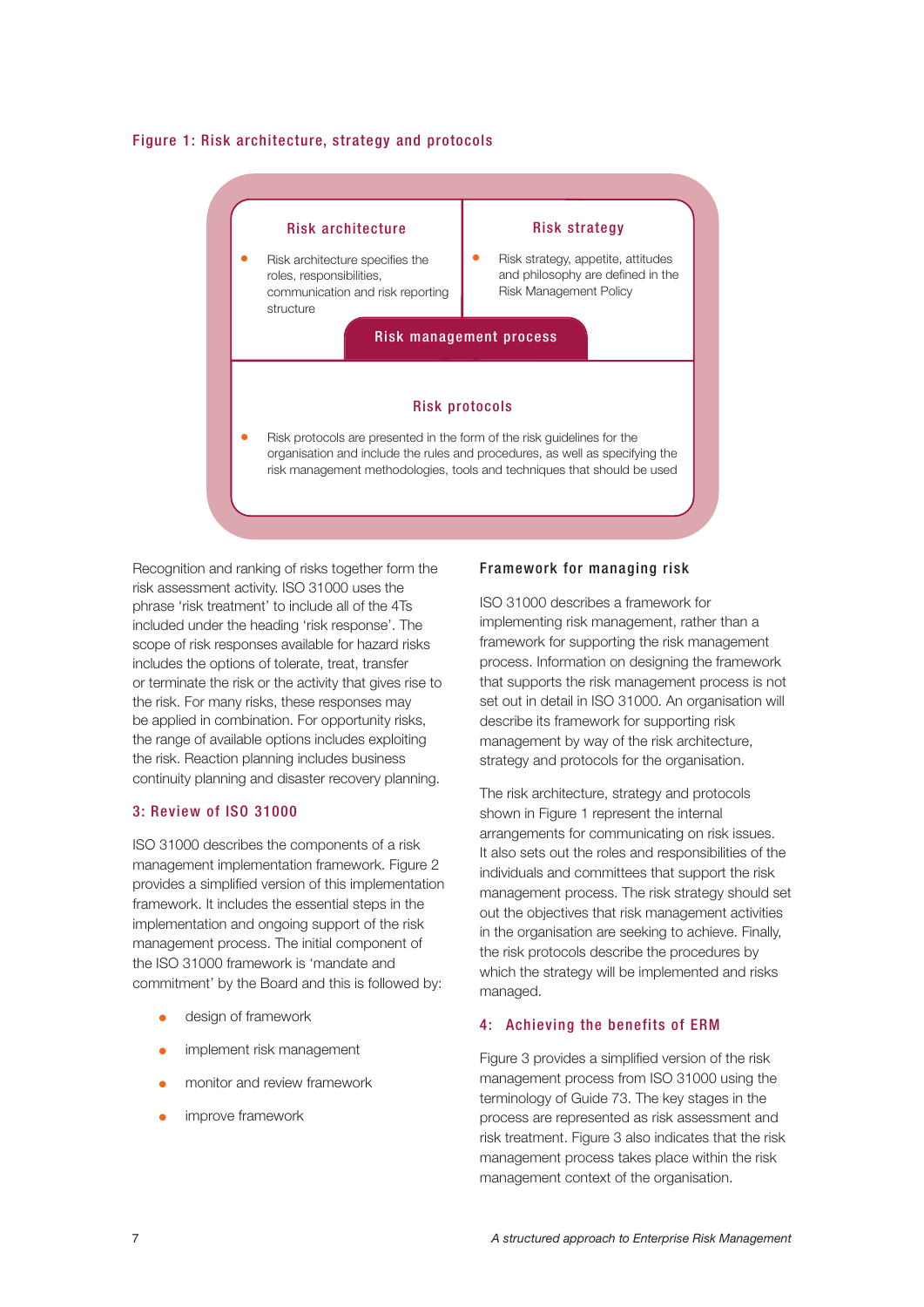#### Figure 1: Risk architecture, strategy and protocols



Recognition and ranking of risks together form the risk assessment activity. ISO 31000 uses the phrase 'risk treatment' to include all of the 4Ts included under the heading 'risk response'. The scope of risk responses available for hazard risks includes the options of tolerate, treat, transfer or terminate the risk or the activity that gives rise to the risk. For many risks, these responses may be applied in combination. For opportunity risks, the range of available options includes exploiting the risk. Reaction planning includes business continuity planning and disaster recovery planning.

#### 3: Review of ISO 31000

ISO 31000 describes the components of a risk management implementation framework. Figure 2 provides a simplified version of this implementation framework. It includes the essential steps in the implementation and ongoing support of the risk management process. The initial component of the ISO 31000 framework is 'mandate and commitment' by the Board and this is followed by:

- design of framework
- implement risk management
- monitor and review framework
- improve framework

## Framework for managing risk

ISO 31000 describes a framework for implementing risk management, rather than a framework for supporting the risk management process. Information on designing the framework that supports the risk management process is not set out in detail in ISO 31000. An organisation will describe its framework for supporting risk management by way of the risk architecture, strategy and protocols for the organisation.

The risk architecture, strategy and protocols shown in Figure 1 represent the internal arrangements for communicating on risk issues. It also sets out the roles and responsibilities of the individuals and committees that support the risk management process. The risk strategy should set out the objectives that risk management activities in the organisation are seeking to achieve. Finally, the risk protocols describe the procedures by which the strategy will be implemented and risks managed.

#### 4: Achieving the benefits of ERM

Figure 3 provides a simplified version of the risk management process from ISO 31000 using the terminology of Guide 73. The key stages in the process are represented as risk assessment and risk treatment. Figure 3 also indicates that the risk management process takes place within the risk management context of the organisation.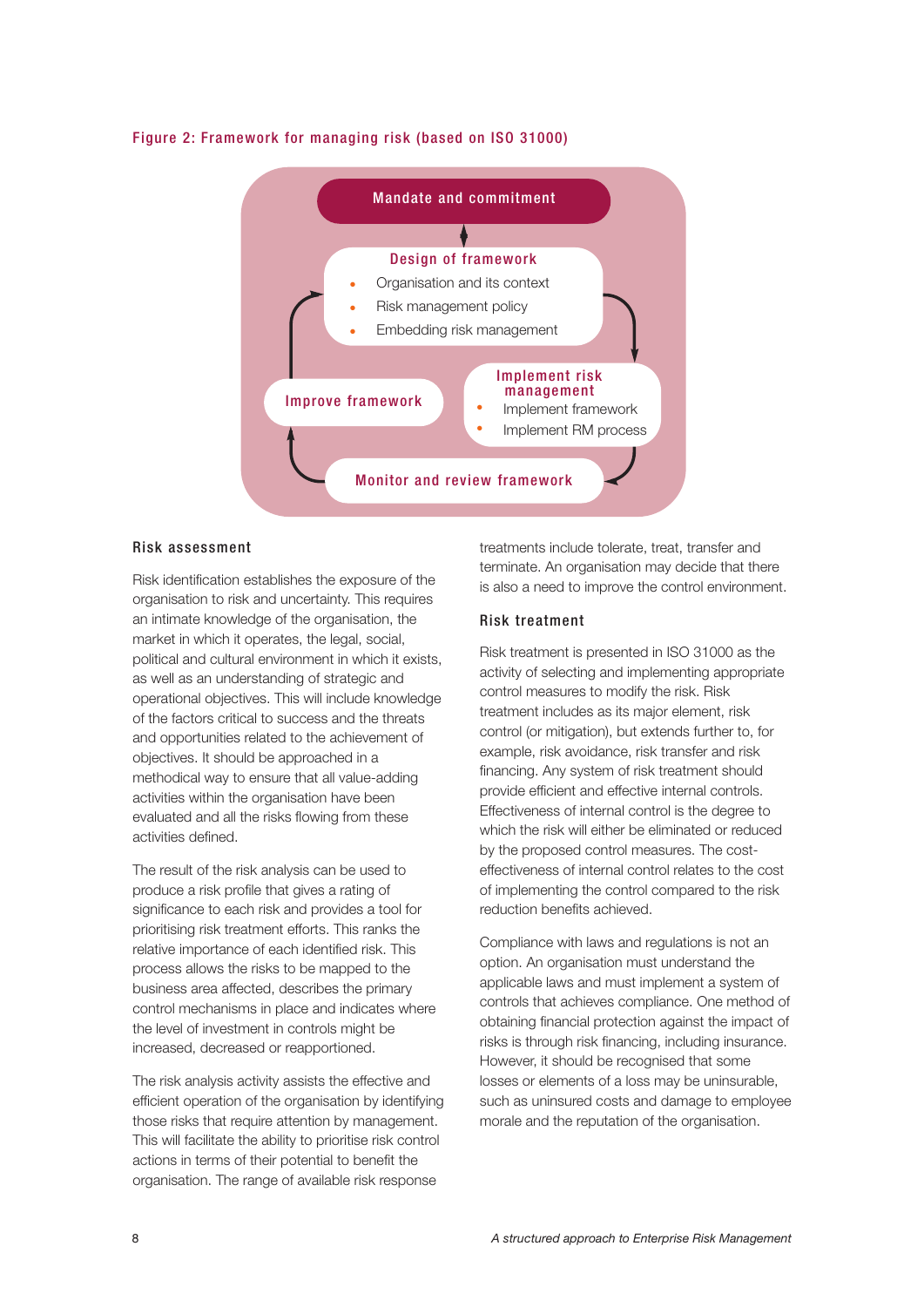

#### Figure 2: Framework for managing risk (based on ISO 31000)

#### Risk assessment

Risk identification establishes the exposure of the organisation to risk and uncertainty. This requires an intimate knowledge of the organisation, the market in which it operates, the legal, social, political and cultural environment in which it exists, as well as an understanding of strategic and operational objectives. This will include knowledge of the factors critical to success and the threats and opportunities related to the achievement of objectives. It should be approached in a methodical way to ensure that all value-adding activities within the organisation have been evaluated and all the risks flowing from these activities defined.

The result of the risk analysis can be used to produce a risk profile that gives a rating of significance to each risk and provides a tool for prioritising risk treatment efforts. This ranks the relative importance of each identified risk. This process allows the risks to be mapped to the business area affected, describes the primary control mechanisms in place and indicates where the level of investment in controls might be increased, decreased or reapportioned.

The risk analysis activity assists the effective and efficient operation of the organisation by identifying those risks that require attention by management. This will facilitate the ability to prioritise risk control actions in terms of their potential to benefit the organisation. The range of available risk response

treatments include tolerate, treat, transfer and terminate. An organisation may decide that there is also a need to improve the control environment.

#### Risk treatment

Risk treatment is presented in ISO 31000 as the activity of selecting and implementing appropriate control measures to modify the risk. Risk treatment includes as its major element, risk control (or mitigation), but extends further to, for example, risk avoidance, risk transfer and risk financing. Any system of risk treatment should provide efficient and effective internal controls. Effectiveness of internal control is the degree to which the risk will either be eliminated or reduced by the proposed control measures. The costeffectiveness of internal control relates to the cost of implementing the control compared to the risk reduction benefits achieved.

Compliance with laws and regulations is not an option. An organisation must understand the applicable laws and must implement a system of controls that achieves compliance. One method of obtaining financial protection against the impact of risks is through risk financing, including insurance. However, it should be recognised that some losses or elements of a loss may be uninsurable, such as uninsured costs and damage to employee morale and the reputation of the organisation.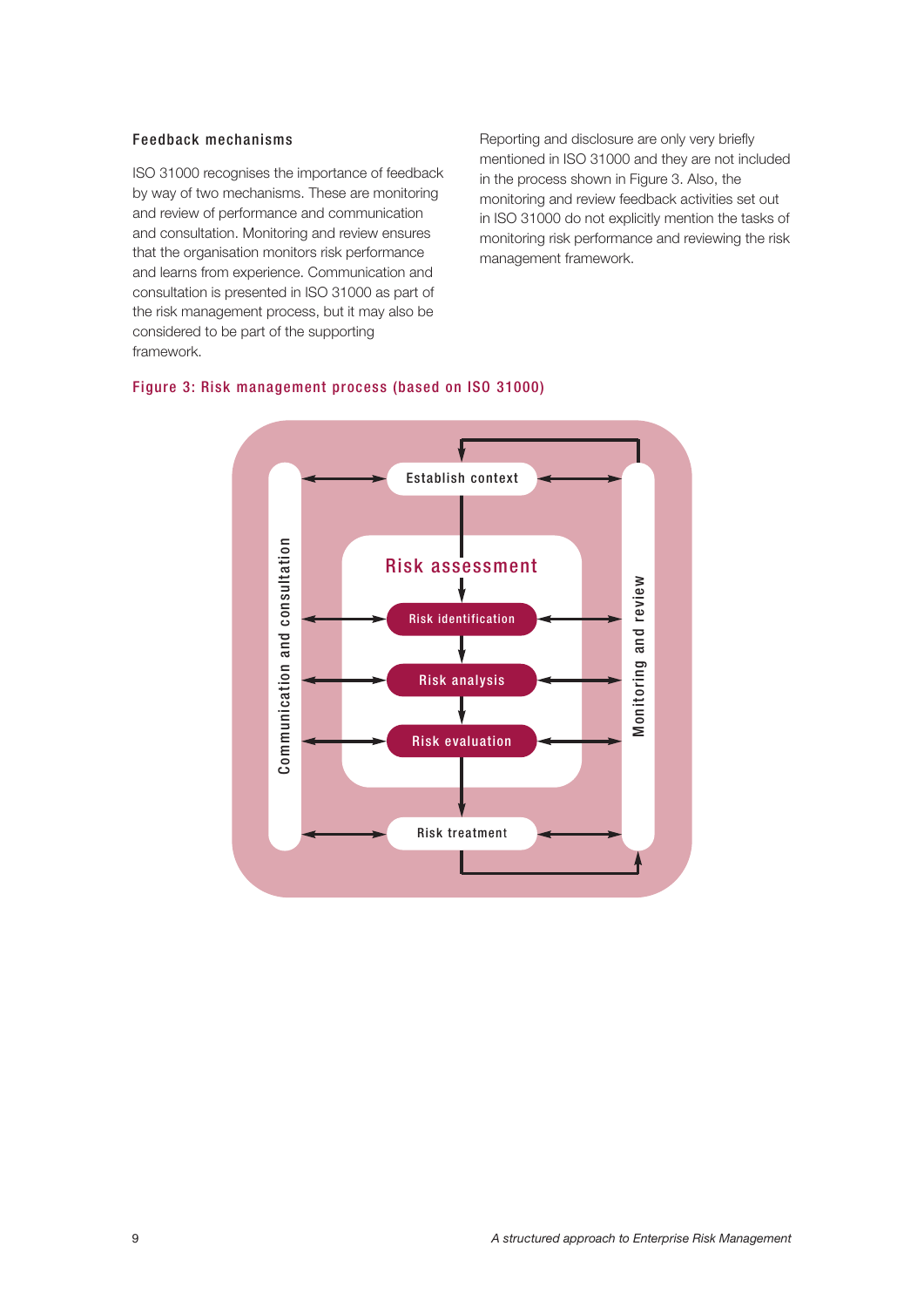#### Feedback mechanisms

ISO 31000 recognises the importance of feedback by way of two mechanisms. These are monitoring and review of performance and communication and consultation. Monitoring and review ensures that the organisation monitors risk performance and learns from experience. Communication and consultation is presented in ISO 31000 as part of the risk management process, but it may also be considered to be part of the supporting framework.

Reporting and disclosure are only very briefly mentioned in ISO 31000 and they are not included in the process shown in Figure 3. Also, the monitoring and review feedback activities set out in ISO 31000 do not explicitly mention the tasks of monitoring risk performance and reviewing the risk management framework.

## Figure 3: Risk management process (based on ISO 31000)

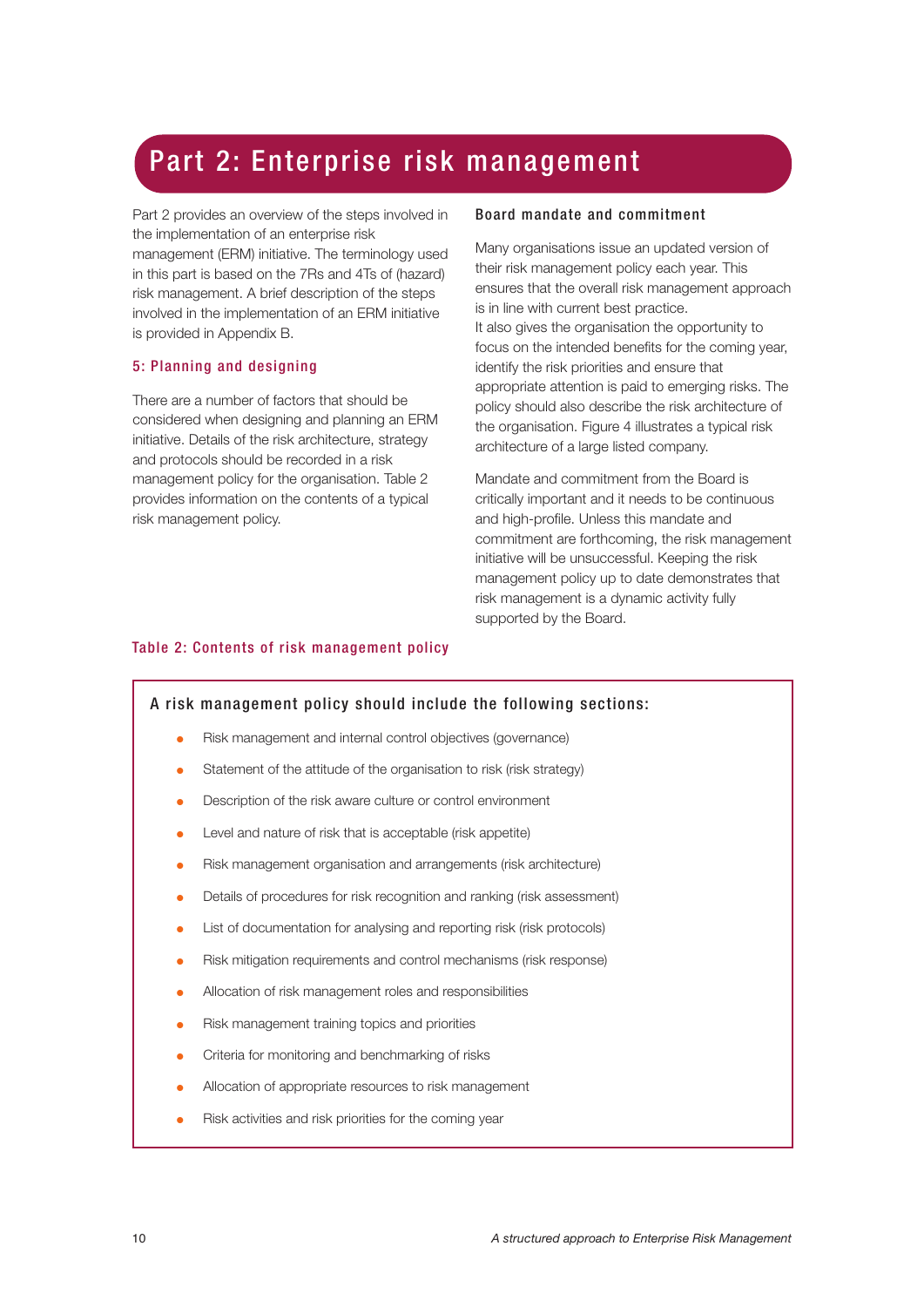## Part 2: Enterprise risk management

Part 2 provides an overview of the steps involved in the implementation of an enterprise risk management (ERM) initiative. The terminology used in this part is based on the 7Rs and 4Ts of (hazard) risk management. A brief description of the steps involved in the implementation of an ERM initiative is provided in Appendix B.

## 5: Planning and designing

There are a number of factors that should be considered when designing and planning an ERM initiative. Details of the risk architecture, strategy and protocols should be recorded in a risk management policy for the organisation. Table 2 provides information on the contents of a typical risk management policy.

## Board mandate and commitment

Many organisations issue an updated version of their risk management policy each year. This ensures that the overall risk management approach is in line with current best practice. It also gives the organisation the opportunity to focus on the intended benefits for the coming year, identify the risk priorities and ensure that appropriate attention is paid to emerging risks. The policy should also describe the risk architecture of the organisation. Figure 4 illustrates a typical risk architecture of a large listed company.

Mandate and commitment from the Board is critically important and it needs to be continuous and high-profile. Unless this mandate and commitment are forthcoming, the risk management initiative will be unsuccessful. Keeping the risk management policy up to date demonstrates that risk management is a dynamic activity fully supported by the Board.

## Table 2: Contents of risk management policy

## A risk management policy should include the following sections:

- Risk management and internal control objectives (governance)
- Statement of the attitude of the organisation to risk (risk strategy)
- Description of the risk aware culture or control environment
- Level and nature of risk that is acceptable (risk appetite)
- Risk management organisation and arrangements (risk architecture)
- Details of procedures for risk recognition and ranking (risk assessment)
- List of documentation for analysing and reporting risk (risk protocols)
- Risk mitigation requirements and control mechanisms (risk response)
- Allocation of risk management roles and responsibilities
- Risk management training topics and priorities
- Criteria for monitoring and benchmarking of risks
- Allocation of appropriate resources to risk management
- Risk activities and risk priorities for the coming year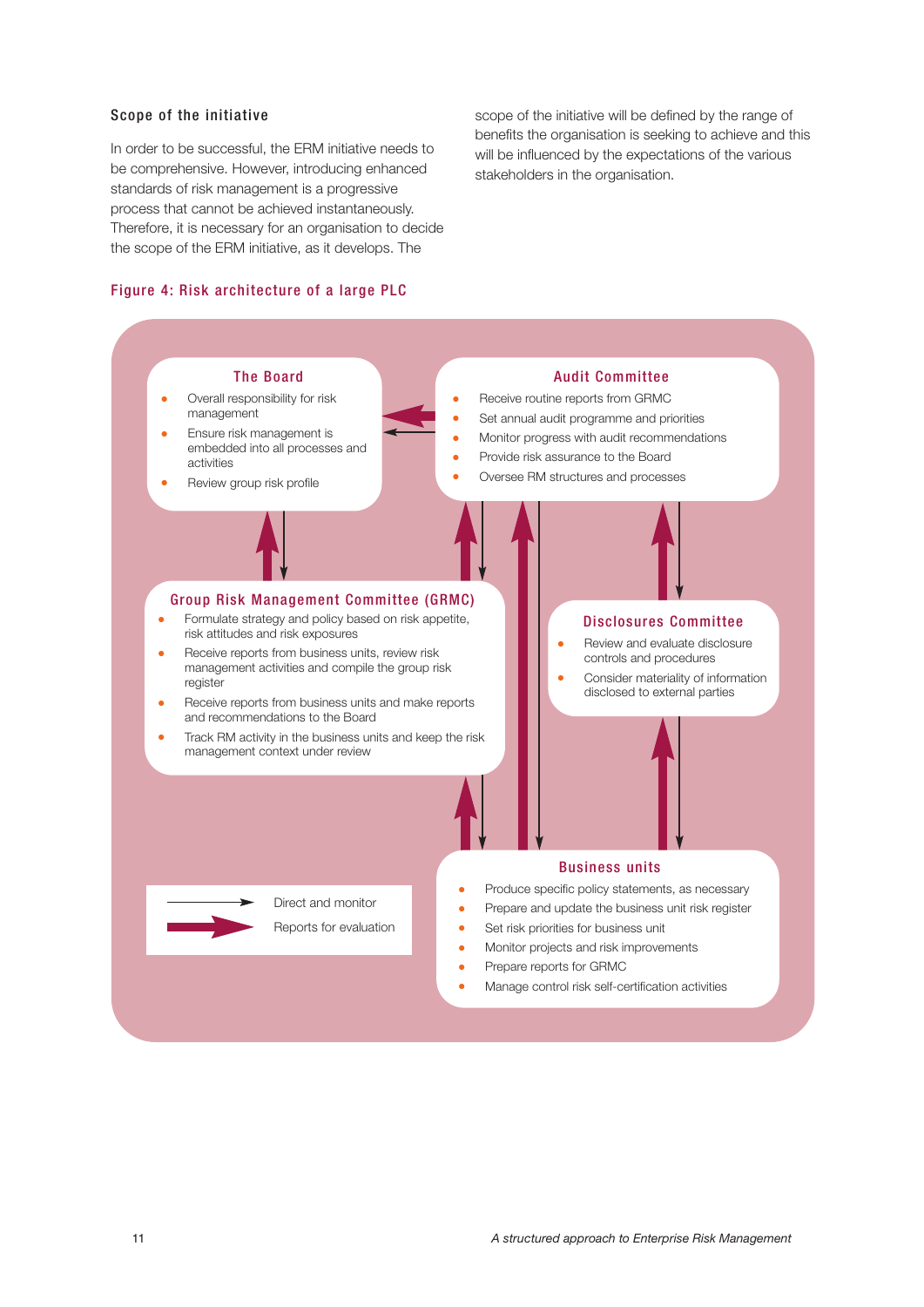## Scope of the initiative

In order to be successful, the ERM initiative needs to be comprehensive. However, introducing enhanced standards of risk management is a progressive process that cannot be achieved instantaneously. Therefore, it is necessary for an organisation to decide the scope of the ERM initiative, as it develops. The

#### Figure 4: Risk architecture of a large PLC

scope of the initiative will be defined by the range of benefits the organisation is seeking to achieve and this will be influenced by the expectations of the various stakeholders in the organisation.



Manage control risk self-certification activities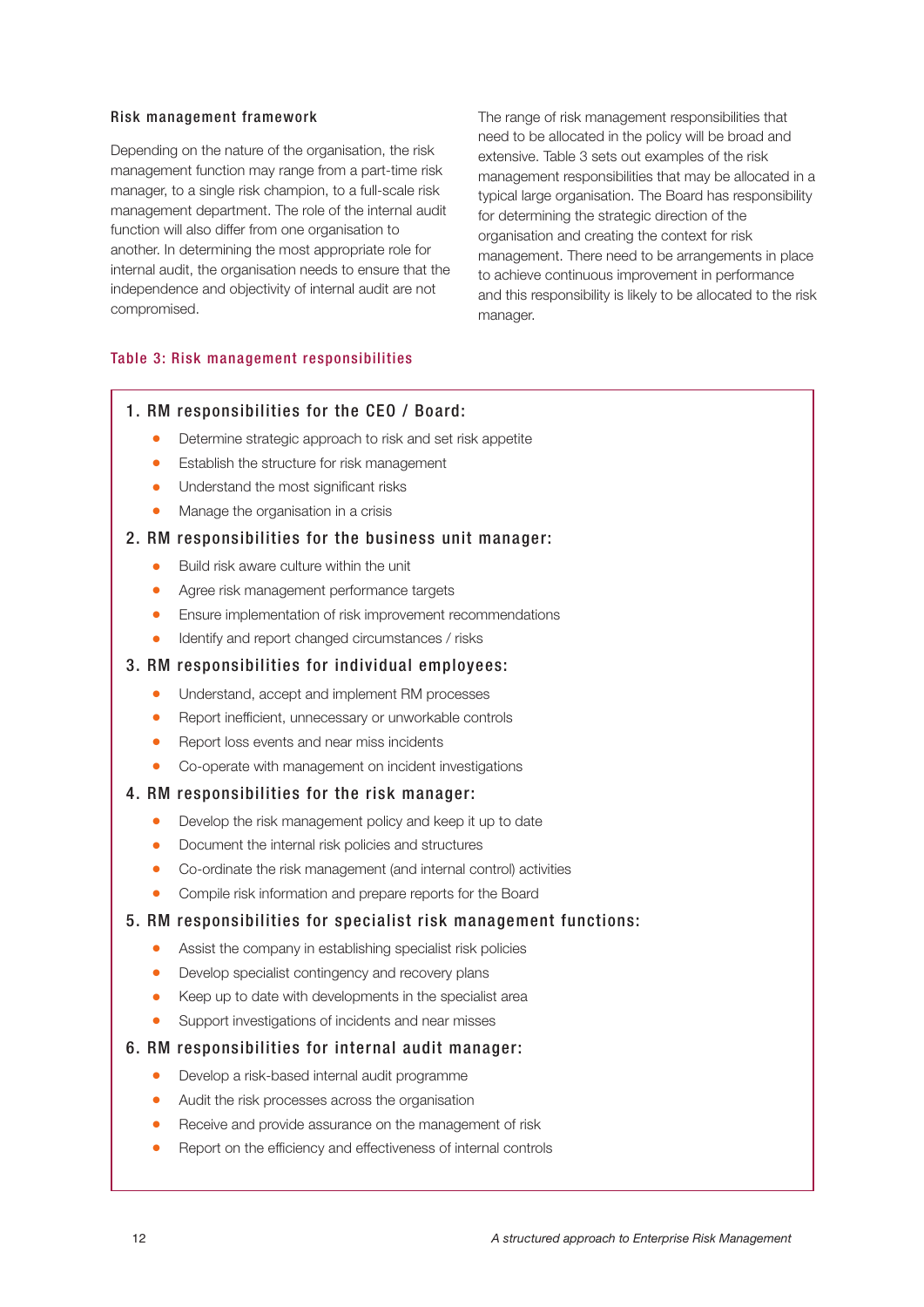#### Risk management framework

Depending on the nature of the organisation, the risk management function may range from a part-time risk manager, to a single risk champion, to a full-scale risk management department. The role of the internal audit function will also differ from one organisation to another. In determining the most appropriate role for internal audit, the organisation needs to ensure that the independence and objectivity of internal audit are not compromised.

The range of risk management responsibilities that need to be allocated in the policy will be broad and extensive. Table 3 sets out examples of the risk management responsibilities that may be allocated in a typical large organisation. The Board has responsibility for determining the strategic direction of the organisation and creating the context for risk management. There need to be arrangements in place to achieve continuous improvement in performance and this responsibility is likely to be allocated to the risk manager.

#### Table 3: Risk management responsibilities

## 1. RM responsibilities for the CEO / Board:

- Determine strategic approach to risk and set risk appetite
- Establish the structure for risk management
- Understand the most significant risks
- Manage the organisation in a crisis

## 2. RM responsibilities for the business unit manager:

- Build risk aware culture within the unit
- Agree risk management performance targets
- Ensure implementation of risk improvement recommendations
- Identify and report changed circumstances / risks

#### 3. RM responsibilities for individual employees:

- Understand, accept and implement RM processes
- Report inefficient, unnecessary or unworkable controls
- Report loss events and near miss incidents
- Co-operate with management on incident investigations
- 4. RM responsibilities for the risk manager:
	- Develop the risk management policy and keep it up to date
	- Document the internal risk policies and structures
	- Co-ordinate the risk management (and internal control) activities
	- Compile risk information and prepare reports for the Board
- 5. RM responsibilities for specialist risk management functions:
	- Assist the company in establishing specialist risk policies
	- Develop specialist contingency and recovery plans
	- Keep up to date with developments in the specialist area
	- Support investigations of incidents and near misses
- 6. RM responsibilities for internal audit manager:
	- Develop a risk-based internal audit programme
	- Audit the risk processes across the organisation
	- Receive and provide assurance on the management of risk
	- Report on the efficiency and effectiveness of internal controls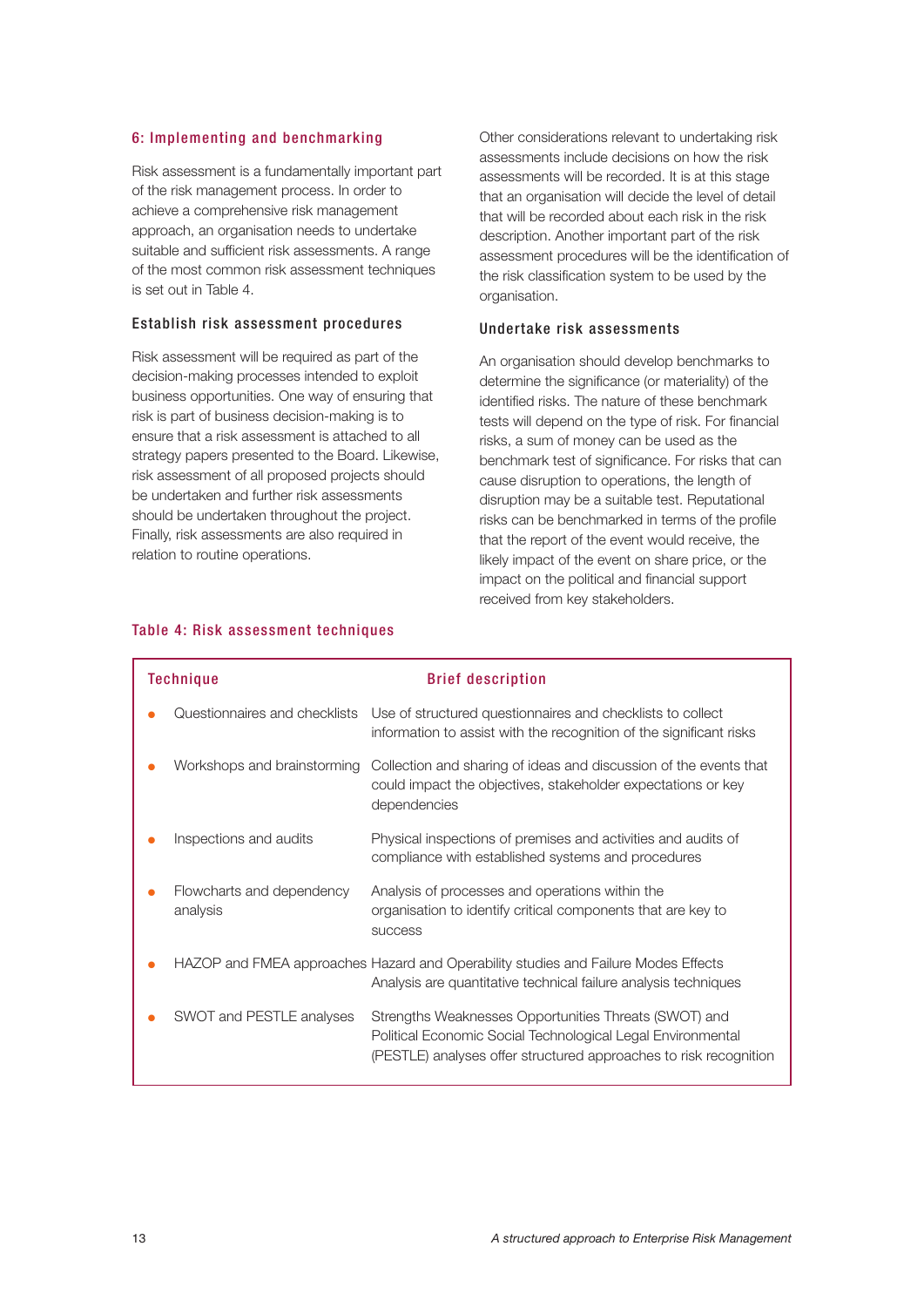#### 6: Implementing and benchmarking

Risk assessment is a fundamentally important part of the risk management process. In order to achieve a comprehensive risk management approach, an organisation needs to undertake suitable and sufficient risk assessments. A range of the most common risk assessment techniques is set out in Table 4.

## Establish risk assessment procedures

Risk assessment will be required as part of the decision-making processes intended to exploit business opportunities. One way of ensuring that risk is part of business decision-making is to ensure that a risk assessment is attached to all strategy papers presented to the Board. Likewise, risk assessment of all proposed projects should be undertaken and further risk assessments should be undertaken throughout the project. Finally, risk assessments are also required in relation to routine operations.

Other considerations relevant to undertaking risk assessments include decisions on how the risk assessments will be recorded. It is at this stage that an organisation will decide the level of detail that will be recorded about each risk in the risk description. Another important part of the risk assessment procedures will be the identification of the risk classification system to be used by the organisation.

#### Undertake risk assessments

An organisation should develop benchmarks to determine the significance (or materiality) of the identified risks. The nature of these benchmark tests will depend on the type of risk. For financial risks, a sum of money can be used as the benchmark test of significance. For risks that can cause disruption to operations, the length of disruption may be a suitable test. Reputational risks can be benchmarked in terms of the profile that the report of the event would receive, the likely impact of the event on share price, or the impact on the political and financial support received from key stakeholders.

| <b>Technique</b>                      | <b>Brief description</b>                                                                                                                                                                  |
|---------------------------------------|-------------------------------------------------------------------------------------------------------------------------------------------------------------------------------------------|
| Questionnaires and checklists         | Use of structured questionnaires and checklists to collect<br>information to assist with the recognition of the significant risks                                                         |
| Workshops and brainstorming           | Collection and sharing of ideas and discussion of the events that<br>could impact the objectives, stakeholder expectations or key<br>dependencies                                         |
| Inspections and audits                | Physical inspections of premises and activities and audits of<br>compliance with established systems and procedures                                                                       |
| Flowcharts and dependency<br>analysis | Analysis of processes and operations within the<br>organisation to identify critical components that are key to<br><b>SUCCESS</b>                                                         |
|                                       | HAZOP and FMEA approaches Hazard and Operability studies and Failure Modes Effects<br>Analysis are quantitative technical failure analysis techniques                                     |
| SWOT and PESTLE analyses              | Strengths Weaknesses Opportunities Threats (SWOT) and<br>Political Economic Social Technological Legal Environmental<br>(PESTLE) analyses offer structured approaches to risk recognition |

#### Table 4: Risk assessment techniques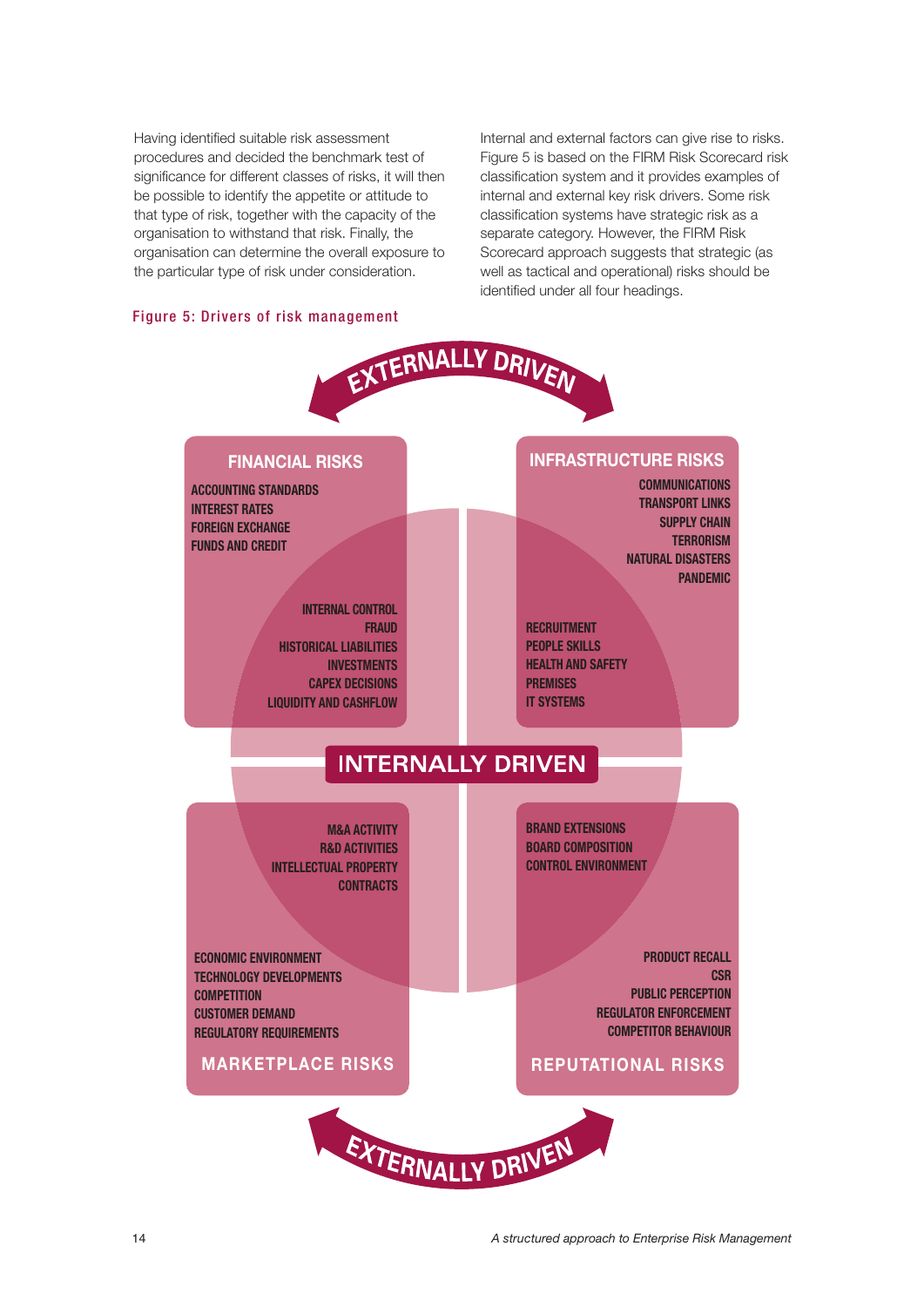Having identified suitable risk assessment procedures and decided the benchmark test of significance for different classes of risks, it will then be possible to identify the appetite or attitude to that type of risk, together with the capacity of the organisation to withstand that risk. Finally, the organisation can determine the overall exposure to the particular type of risk under consideration.

Internal and external factors can give rise to risks. Figure 5 is based on the FIRM Risk Scorecard risk classification system and it provides examples of internal and external key risk drivers. Some risk classification systems have strategic risk as a separate category. However, the FIRM Risk Scorecard approach suggests that strategic (as well as tactical and operational) risks should be identified under all four headings.

## Figure 5: Drivers of risk management

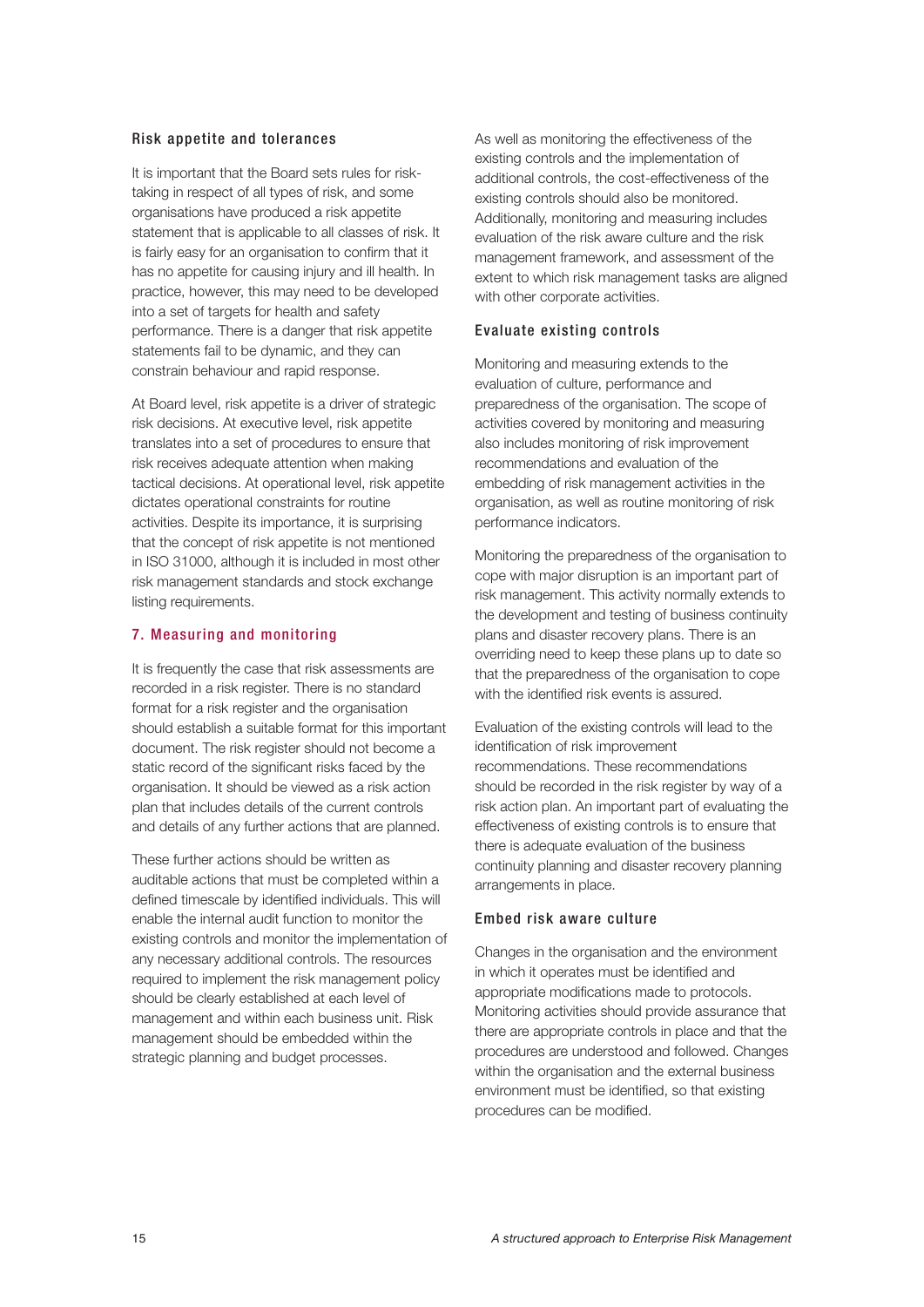#### Risk appetite and tolerances

It is important that the Board sets rules for risktaking in respect of all types of risk, and some organisations have produced a risk appetite statement that is applicable to all classes of risk. It is fairly easy for an organisation to confirm that it has no appetite for causing injury and ill health. In practice, however, this may need to be developed into a set of targets for health and safety performance. There is a danger that risk appetite statements fail to be dynamic, and they can constrain behaviour and rapid response.

At Board level, risk appetite is a driver of strategic risk decisions. At executive level, risk appetite translates into a set of procedures to ensure that risk receives adequate attention when making tactical decisions. At operational level, risk appetite dictates operational constraints for routine activities. Despite its importance, it is surprising that the concept of risk appetite is not mentioned in ISO 31000, although it is included in most other risk management standards and stock exchange listing requirements.

#### 7. Measuring and monitoring

It is frequently the case that risk assessments are recorded in a risk register. There is no standard format for a risk register and the organisation should establish a suitable format for this important document. The risk register should not become a static record of the significant risks faced by the organisation. It should be viewed as a risk action plan that includes details of the current controls and details of any further actions that are planned.

These further actions should be written as auditable actions that must be completed within a defined timescale by identified individuals. This will enable the internal audit function to monitor the existing controls and monitor the implementation of any necessary additional controls. The resources required to implement the risk management policy should be clearly established at each level of management and within each business unit. Risk management should be embedded within the strategic planning and budget processes.

As well as monitoring the effectiveness of the existing controls and the implementation of additional controls, the cost-effectiveness of the existing controls should also be monitored. Additionally, monitoring and measuring includes evaluation of the risk aware culture and the risk management framework, and assessment of the extent to which risk management tasks are aligned with other corporate activities.

## Evaluate existing controls

Monitoring and measuring extends to the evaluation of culture, performance and preparedness of the organisation. The scope of activities covered by monitoring and measuring also includes monitoring of risk improvement recommendations and evaluation of the embedding of risk management activities in the organisation, as well as routine monitoring of risk performance indicators.

Monitoring the preparedness of the organisation to cope with major disruption is an important part of risk management. This activity normally extends to the development and testing of business continuity plans and disaster recovery plans. There is an overriding need to keep these plans up to date so that the preparedness of the organisation to cope with the identified risk events is assured.

Evaluation of the existing controls will lead to the identification of risk improvement recommendations. These recommendations should be recorded in the risk register by way of a risk action plan. An important part of evaluating the effectiveness of existing controls is to ensure that there is adequate evaluation of the business continuity planning and disaster recovery planning arrangements in place.

#### Embed risk aware culture

Changes in the organisation and the environment in which it operates must be identified and appropriate modifications made to protocols. Monitoring activities should provide assurance that there are appropriate controls in place and that the procedures are understood and followed. Changes within the organisation and the external business environment must be identified, so that existing procedures can be modified.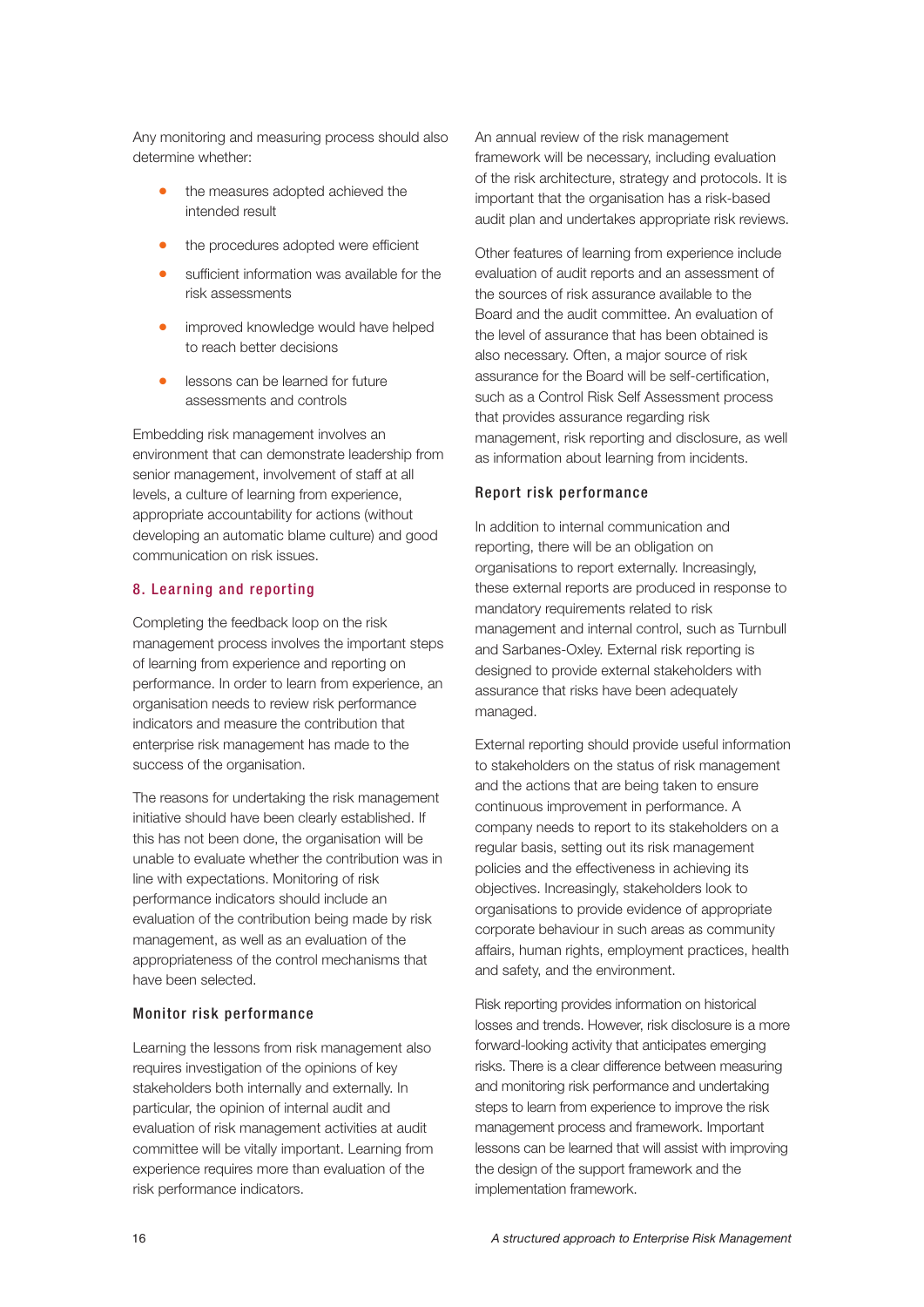Any monitoring and measuring process should also determine whether:

- the measures adopted achieved the intended result
- the procedures adopted were efficient
- sufficient information was available for the risk assessments
- improved knowledge would have helped to reach better decisions
- lessons can be learned for future assessments and controls

Embedding risk management involves an environment that can demonstrate leadership from senior management, involvement of staff at all levels, a culture of learning from experience, appropriate accountability for actions (without developing an automatic blame culture) and good communication on risk issues.

## 8. Learning and reporting

Completing the feedback loop on the risk management process involves the important steps of learning from experience and reporting on performance. In order to learn from experience, an organisation needs to review risk performance indicators and measure the contribution that enterprise risk management has made to the success of the organisation.

The reasons for undertaking the risk management initiative should have been clearly established. If this has not been done, the organisation will be unable to evaluate whether the contribution was in line with expectations. Monitoring of risk performance indicators should include an evaluation of the contribution being made by risk management, as well as an evaluation of the appropriateness of the control mechanisms that have been selected.

#### Monitor risk performance

Learning the lessons from risk management also requires investigation of the opinions of key stakeholders both internally and externally. In particular, the opinion of internal audit and evaluation of risk management activities at audit committee will be vitally important. Learning from experience requires more than evaluation of the risk performance indicators.

An annual review of the risk management framework will be necessary, including evaluation of the risk architecture, strategy and protocols. It is important that the organisation has a risk-based audit plan and undertakes appropriate risk reviews.

Other features of learning from experience include evaluation of audit reports and an assessment of the sources of risk assurance available to the Board and the audit committee. An evaluation of the level of assurance that has been obtained is also necessary. Often, a major source of risk assurance for the Board will be self-certification, such as a Control Risk Self Assessment process that provides assurance regarding risk management, risk reporting and disclosure, as well as information about learning from incidents.

#### Report risk performance

In addition to internal communication and reporting, there will be an obligation on organisations to report externally. Increasingly, these external reports are produced in response to mandatory requirements related to risk management and internal control, such as Turnbull and Sarbanes-Oxley. External risk reporting is designed to provide external stakeholders with assurance that risks have been adequately managed.

External reporting should provide useful information to stakeholders on the status of risk management and the actions that are being taken to ensure continuous improvement in performance. A company needs to report to its stakeholders on a regular basis, setting out its risk management policies and the effectiveness in achieving its objectives. Increasingly, stakeholders look to organisations to provide evidence of appropriate corporate behaviour in such areas as community affairs, human rights, employment practices, health and safety, and the environment.

Risk reporting provides information on historical losses and trends. However, risk disclosure is a more forward-looking activity that anticipates emerging risks. There is a clear difference between measuring and monitoring risk performance and undertaking steps to learn from experience to improve the risk management process and framework. Important lessons can be learned that will assist with improving the design of the support framework and the implementation framework.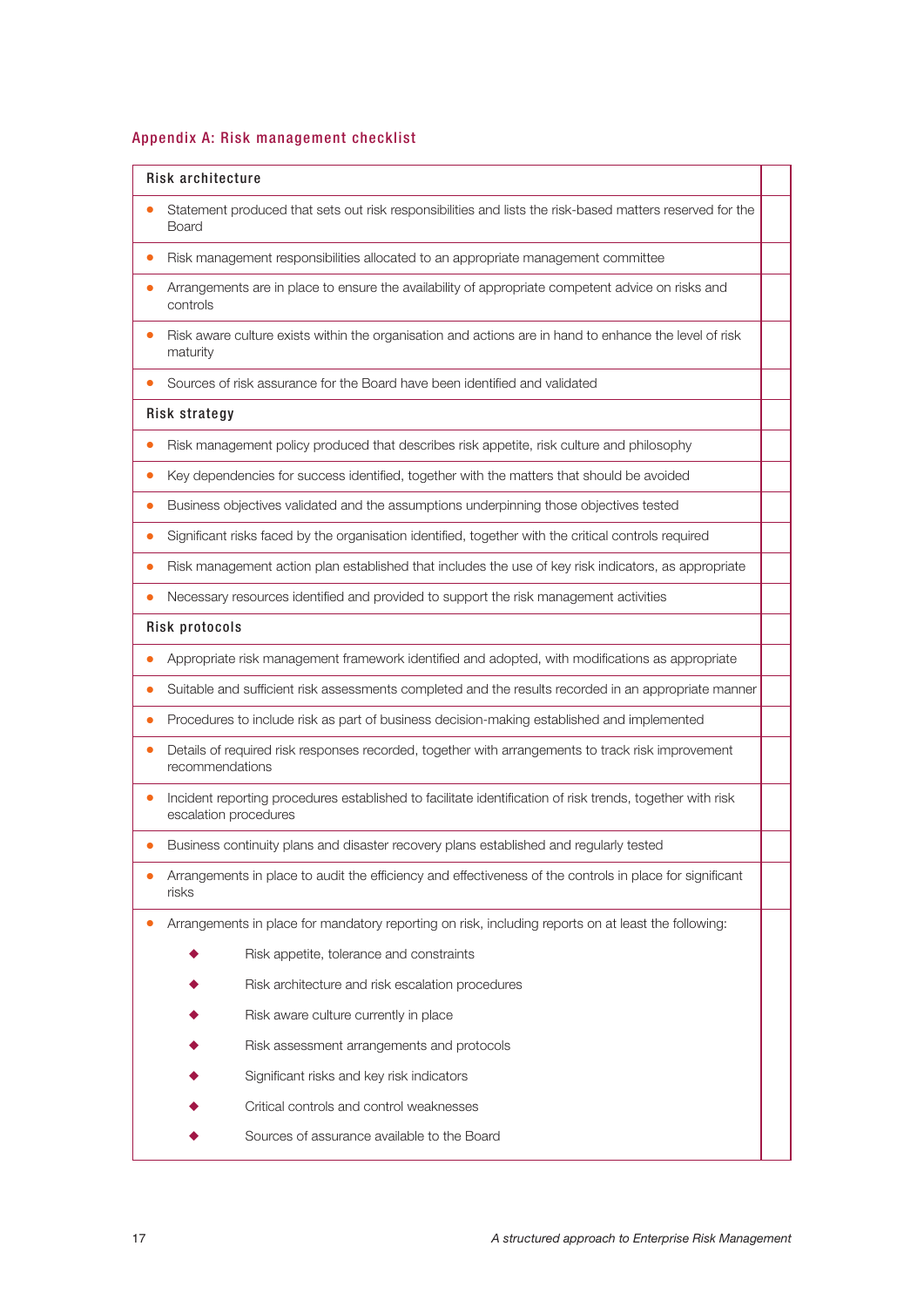#### Appendix A: Risk management checklist

#### Risk architecture

- Statement produced that sets out risk responsibilities and lists the risk-based matters reserved for the Board
- Risk management responsibilities allocated to an appropriate management committee
- Arrangements are in place to ensure the availability of appropriate competent advice on risks and controls
- Risk aware culture exists within the organisation and actions are in hand to enhance the level of risk maturity
- Sources of risk assurance for the Board have been identified and validated

#### Risk strategy

- Risk management policy produced that describes risk appetite, risk culture and philosophy
- Key dependencies for success identified, together with the matters that should be avoided
- Business objectives validated and the assumptions underpinning those objectives tested
- Significant risks faced by the organisation identified, together with the critical controls required
- Risk management action plan established that includes the use of key risk indicators, as appropriate
- Necessary resources identified and provided to support the risk management activities

#### Risk protocols

- Appropriate risk management framework identified and adopted, with modifications as appropriate
- Suitable and sufficient risk assessments completed and the results recorded in an appropriate manner
- Procedures to include risk as part of business decision-making established and implemented
- Details of required risk responses recorded, together with arrangements to track risk improvement recommendations
- Incident reporting procedures established to facilitate identification of risk trends, together with risk escalation procedures
- Business continuity plans and disaster recovery plans established and regularly tested
- Arrangements in place to audit the efficiency and effectiveness of the controls in place for significant risks
- Arrangements in place for mandatory reporting on risk, including reports on at least the following:
	- Risk appetite, tolerance and constraints
	- ◆ Risk architecture and risk escalation procedures
	- Risk aware culture currently in place
	- Risk assessment arrangements and protocols
	- Significant risks and key risk indicators
	- Critical controls and control weaknesses
	- Sources of assurance available to the Board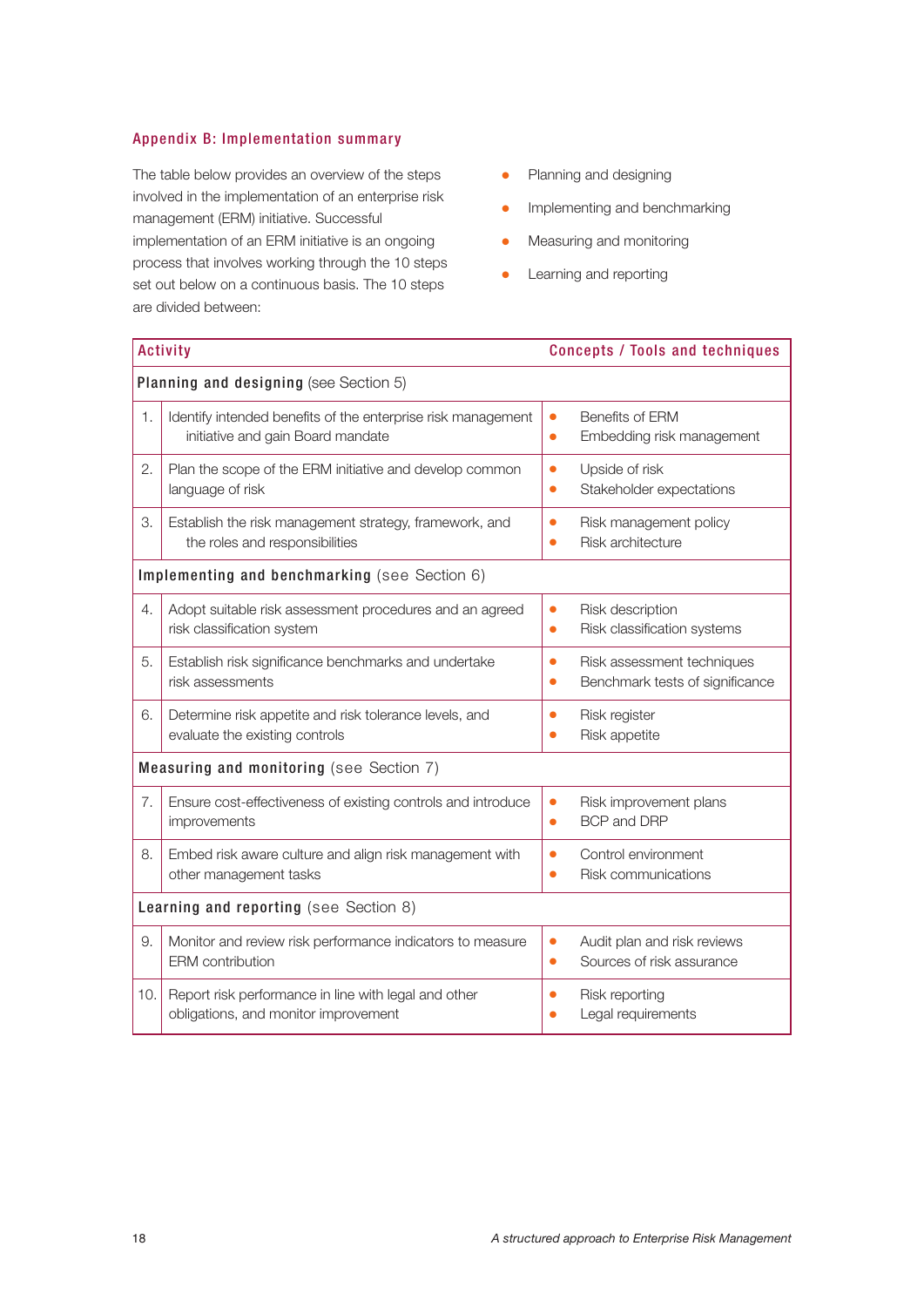## Appendix B: Implementation summary

The table below provides an overview of the steps involved in the implementation of an enterprise risk management (ERM) initiative. Successful implementation of an ERM initiative is an ongoing process that involves working through the 10 steps set out below on a continuous basis. The 10 steps are divided between:

- Planning and designing
- **•** Implementing and benchmarking
- Measuring and monitoring
- Learning and reporting

| <b>Activity</b>                               |                                                                                                   | <b>Concepts / Tools and techniques</b>                                                  |  |  |
|-----------------------------------------------|---------------------------------------------------------------------------------------------------|-----------------------------------------------------------------------------------------|--|--|
| Planning and designing (see Section 5)        |                                                                                                   |                                                                                         |  |  |
| 1.                                            | Identify intended benefits of the enterprise risk management<br>initiative and gain Board mandate | Benefits of ERM<br>$\bullet$<br>Embedding risk management<br>$\bullet$                  |  |  |
| 2.                                            | Plan the scope of the ERM initiative and develop common<br>language of risk                       | Upside of risk<br>$\bullet$<br>Stakeholder expectations<br>$\bullet$                    |  |  |
| З.                                            | Establish the risk management strategy, framework, and<br>the roles and responsibilities          | Risk management policy<br>$\bullet$<br>Risk architecture<br>$\bullet$                   |  |  |
| Implementing and benchmarking (see Section 6) |                                                                                                   |                                                                                         |  |  |
| 4.                                            | Adopt suitable risk assessment procedures and an agreed<br>risk classification system             | Risk description<br>$\bullet$<br>Risk classification systems<br>$\bullet$               |  |  |
| 5.                                            | Establish risk significance benchmarks and undertake<br>risk assessments                          | Risk assessment techniques<br>$\bullet$<br>Benchmark tests of significance<br>$\bullet$ |  |  |
| 6.                                            | Determine risk appetite and risk tolerance levels, and<br>evaluate the existing controls          | Risk register<br>$\bullet$<br>Risk appetite<br>$\bullet$                                |  |  |
| Measuring and monitoring (see Section 7)      |                                                                                                   |                                                                                         |  |  |
| 7.                                            | Ensure cost-effectiveness of existing controls and introduce<br>improvements                      | Risk improvement plans<br>$\bullet$<br><b>BCP and DRP</b><br>$\bullet$                  |  |  |
| 8.                                            | Embed risk aware culture and align risk management with<br>other management tasks                 | Control environment<br>$\bullet$<br><b>Risk communications</b><br>$\bullet$             |  |  |
| Learning and reporting (see Section 8)        |                                                                                                   |                                                                                         |  |  |
| 9.                                            | Monitor and review risk performance indicators to measure<br><b>ERM</b> contribution              | Audit plan and risk reviews<br>$\bullet$<br>Sources of risk assurance<br>$\bullet$      |  |  |
| 10.                                           | Report risk performance in line with legal and other<br>obligations, and monitor improvement      | Risk reporting<br>$\bullet$<br>Legal requirements<br>٠                                  |  |  |